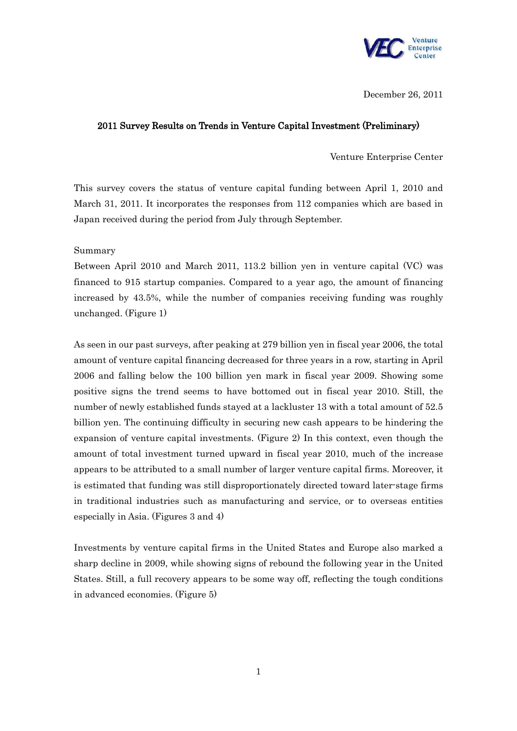

December 26, 2011

## 2011 Survey Results on Trends in Venture Capital Investment (Preliminary)

Venture Enterprise Center

This survey covers the status of venture capital funding between April 1, 2010 and March 31, 2011. It incorporates the responses from 112 companies which are based in Japan received during the period from July through September.

Summary

Between April 2010 and March 2011, 113.2 billion yen in venture capital (VC) was financed to 915 startup companies. Compared to a year ago, the amount of financing increased by 43.5%, while the number of companies receiving funding was roughly unchanged. (Figure 1)

As seen in our past surveys, after peaking at 279 billion yen in fiscal year 2006, the total amount of venture capital financing decreased for three years in a row, starting in April 2006 and falling below the 100 billion yen mark in fiscal year 2009. Showing some positive signs the trend seems to have bottomed out in fiscal year 2010. Still, the number of newly established funds stayed at a lackluster 13 with a total amount of 52.5 billion yen. The continuing difficulty in securing new cash appears to be hindering the expansion of venture capital investments. (Figure 2) In this context, even though the amount of total investment turned upward in fiscal year 2010, much of the increase appears to be attributed to a small number of larger venture capital firms. Moreover, it is estimated that funding was still disproportionately directed toward later-stage firms in traditional industries such as manufacturing and service, or to overseas entities especially in Asia. (Figures 3 and 4)

Investments by venture capital firms in the United States and Europe also marked a sharp decline in 2009, while showing signs of rebound the following year in the United States. Still, a full recovery appears to be some way off, reflecting the tough conditions in advanced economies. (Figure 5)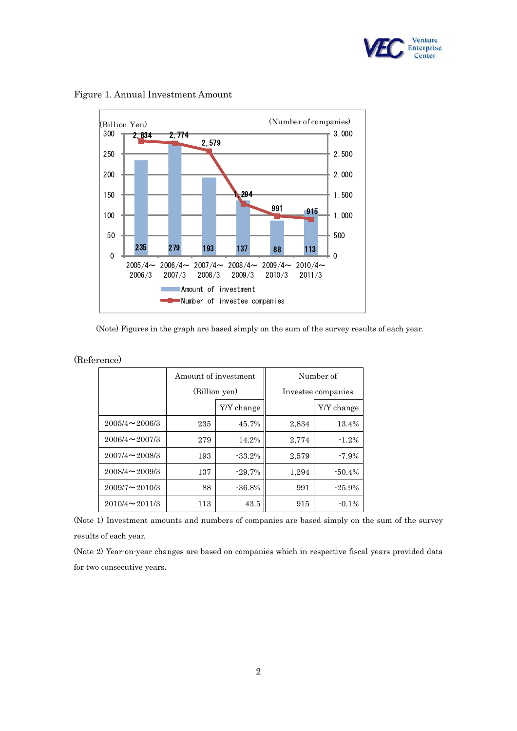



Figure 1. Annual Investment Amount

(Note) Figures in the graph are based simply on the sum of the survey results of each year.

|  |                         | Amount of investment |            | Number of          |            |
|--|-------------------------|----------------------|------------|--------------------|------------|
|  |                         | (Billion yen)        |            | Investee companies |            |
|  |                         |                      | Y/Y change |                    | Y/Y change |
|  | $2005/4 \sim 2006/3$    | 235                  | 45.7%      | 2,834              | 13.4%      |
|  | $2006/4 \approx 2007/3$ | 279                  | 14.2%      | 2,774              | $-1.2%$    |
|  | $2007/4 \sim 2008/3$    | 193                  | $-33.2%$   | 2,579              | $-7.9\%$   |
|  | $2008/4 \sim 2009/3$    | 137                  | $-29.7\%$  | 1,294              | $-50.4%$   |
|  | $2009/7 \sim 2010/3$    | 88                   | $-36.8%$   | 991                | $-25.9%$   |
|  | $2010/4 \approx 2011/3$ | 113                  | 43.5       | 915                | $-0.1\%$   |

(Reference)

(Note 1) Investment amounts and numbers of companies are based simply on the sum of the survey results of each year.

(Note 2) Year-on-year changes are based on companies which in respective fiscal years provided data for two consecutive years.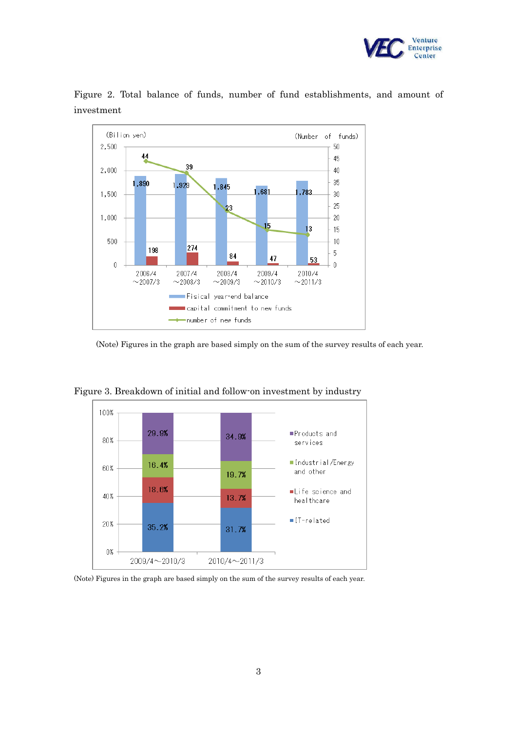



Figure 2. Total balance of funds, number of fund establishments, and amount of investment

(Note) Figures in the graph are based simply on the sum of the survey results of each year.



Figure 3. Breakdown of initial and follow-on investment by industry

<sup>(</sup>Note) Figures in the graph are based simply on the sum of the survey results of each year.